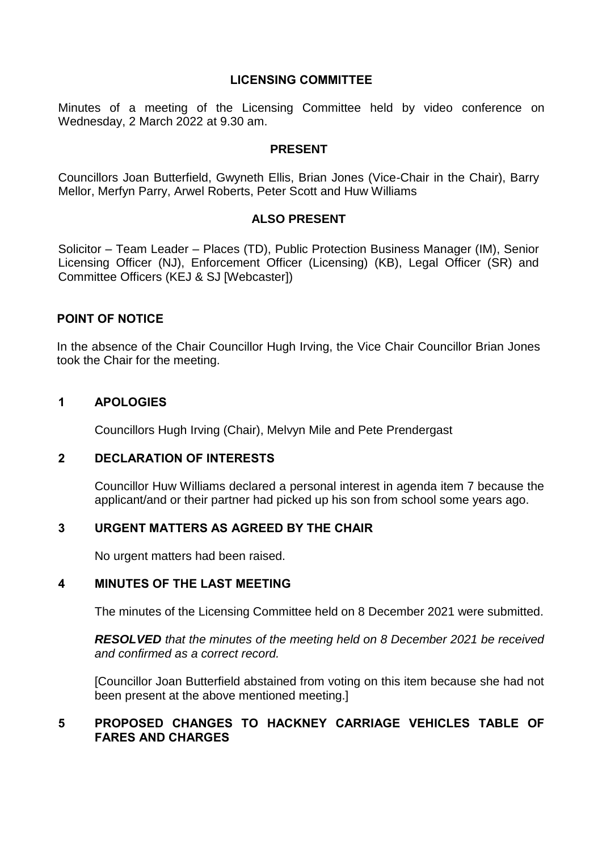### **LICENSING COMMITTEE**

Minutes of a meeting of the Licensing Committee held by video conference on Wednesday, 2 March 2022 at 9.30 am.

### **PRESENT**

Councillors Joan Butterfield, Gwyneth Ellis, Brian Jones (Vice-Chair in the Chair), Barry Mellor, Merfyn Parry, Arwel Roberts, Peter Scott and Huw Williams

# **ALSO PRESENT**

Solicitor – Team Leader – Places (TD), Public Protection Business Manager (IM), Senior Licensing Officer (NJ), Enforcement Officer (Licensing) (KB), Legal Officer (SR) and Committee Officers (KEJ & SJ [Webcaster])

### **POINT OF NOTICE**

In the absence of the Chair Councillor Hugh Irving, the Vice Chair Councillor Brian Jones took the Chair for the meeting.

### **1 APOLOGIES**

Councillors Hugh Irving (Chair), Melvyn Mile and Pete Prendergast

### **2 DECLARATION OF INTERESTS**

Councillor Huw Williams declared a personal interest in agenda item 7 because the applicant/and or their partner had picked up his son from school some years ago.

# **3 URGENT MATTERS AS AGREED BY THE CHAIR**

No urgent matters had been raised.

# **4 MINUTES OF THE LAST MEETING**

The minutes of the Licensing Committee held on 8 December 2021 were submitted.

*RESOLVED that the minutes of the meeting held on 8 December 2021 be received and confirmed as a correct record.*

[Councillor Joan Butterfield abstained from voting on this item because she had not been present at the above mentioned meeting.]

# **5 PROPOSED CHANGES TO HACKNEY CARRIAGE VEHICLES TABLE OF FARES AND CHARGES**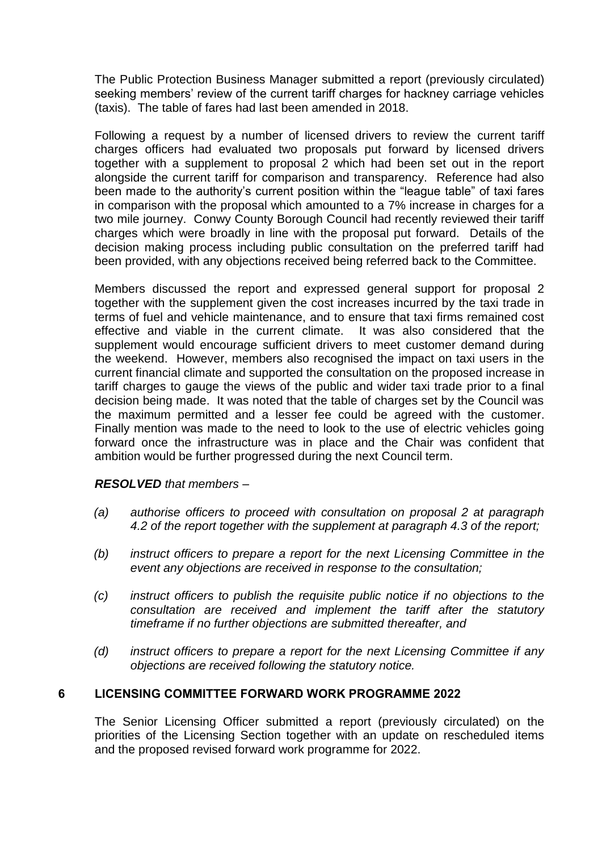The Public Protection Business Manager submitted a report (previously circulated) seeking members' review of the current tariff charges for hackney carriage vehicles (taxis). The table of fares had last been amended in 2018.

Following a request by a number of licensed drivers to review the current tariff charges officers had evaluated two proposals put forward by licensed drivers together with a supplement to proposal 2 which had been set out in the report alongside the current tariff for comparison and transparency. Reference had also been made to the authority's current position within the "league table" of taxi fares in comparison with the proposal which amounted to a 7% increase in charges for a two mile journey. Conwy County Borough Council had recently reviewed their tariff charges which were broadly in line with the proposal put forward. Details of the decision making process including public consultation on the preferred tariff had been provided, with any objections received being referred back to the Committee.

Members discussed the report and expressed general support for proposal 2 together with the supplement given the cost increases incurred by the taxi trade in terms of fuel and vehicle maintenance, and to ensure that taxi firms remained cost effective and viable in the current climate. It was also considered that the supplement would encourage sufficient drivers to meet customer demand during the weekend. However, members also recognised the impact on taxi users in the current financial climate and supported the consultation on the proposed increase in tariff charges to gauge the views of the public and wider taxi trade prior to a final decision being made. It was noted that the table of charges set by the Council was the maximum permitted and a lesser fee could be agreed with the customer. Finally mention was made to the need to look to the use of electric vehicles going forward once the infrastructure was in place and the Chair was confident that ambition would be further progressed during the next Council term.

### *RESOLVED that members –*

- *(a) authorise officers to proceed with consultation on proposal 2 at paragraph 4.2 of the report together with the supplement at paragraph 4.3 of the report;*
- *(b) instruct officers to prepare a report for the next Licensing Committee in the event any objections are received in response to the consultation;*
- *(c) instruct officers to publish the requisite public notice if no objections to the consultation are received and implement the tariff after the statutory timeframe if no further objections are submitted thereafter, and*
- *(d) instruct officers to prepare a report for the next Licensing Committee if any objections are received following the statutory notice.*

### **6 LICENSING COMMITTEE FORWARD WORK PROGRAMME 2022**

The Senior Licensing Officer submitted a report (previously circulated) on the priorities of the Licensing Section together with an update on rescheduled items and the proposed revised forward work programme for 2022.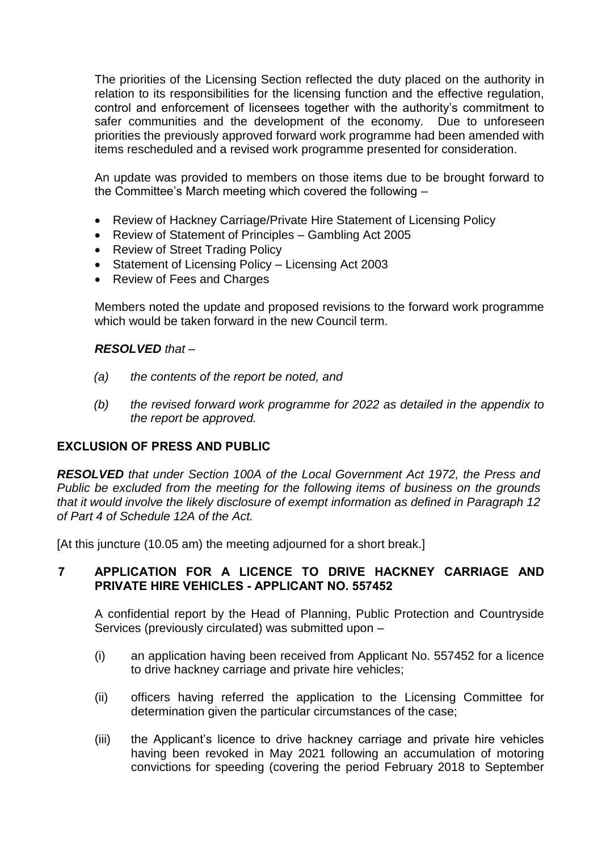The priorities of the Licensing Section reflected the duty placed on the authority in relation to its responsibilities for the licensing function and the effective regulation, control and enforcement of licensees together with the authority's commitment to safer communities and the development of the economy. Due to unforeseen priorities the previously approved forward work programme had been amended with items rescheduled and a revised work programme presented for consideration.

An update was provided to members on those items due to be brought forward to the Committee's March meeting which covered the following –

- Review of Hackney Carriage/Private Hire Statement of Licensing Policy
- Review of Statement of Principles Gambling Act 2005
- Review of Street Trading Policy
- Statement of Licensing Policy Licensing Act 2003
- Review of Fees and Charges

Members noted the update and proposed revisions to the forward work programme which would be taken forward in the new Council term.

### *RESOLVED that –*

- *(a) the contents of the report be noted, and*
- *(b) the revised forward work programme for 2022 as detailed in the appendix to the report be approved.*

### **EXCLUSION OF PRESS AND PUBLIC**

*RESOLVED that under Section 100A of the Local Government Act 1972, the Press and Public be excluded from the meeting for the following items of business on the grounds that it would involve the likely disclosure of exempt information as defined in Paragraph 12 of Part 4 of Schedule 12A of the Act.*

[At this juncture (10.05 am) the meeting adjourned for a short break.]

### **7 APPLICATION FOR A LICENCE TO DRIVE HACKNEY CARRIAGE AND PRIVATE HIRE VEHICLES - APPLICANT NO. 557452**

A confidential report by the Head of Planning, Public Protection and Countryside Services (previously circulated) was submitted upon –

- (i) an application having been received from Applicant No. 557452 for a licence to drive hackney carriage and private hire vehicles;
- (ii) officers having referred the application to the Licensing Committee for determination given the particular circumstances of the case;
- (iii) the Applicant's licence to drive hackney carriage and private hire vehicles having been revoked in May 2021 following an accumulation of motoring convictions for speeding (covering the period February 2018 to September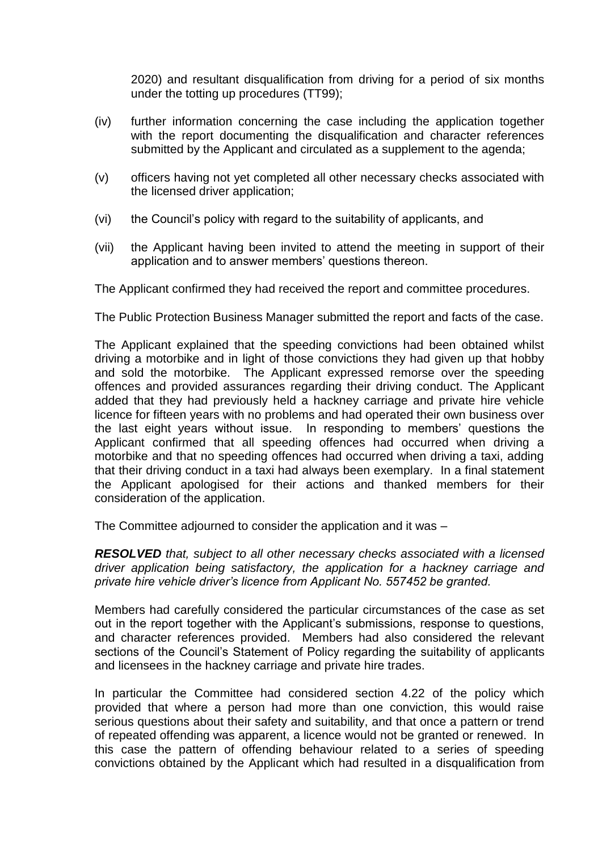2020) and resultant disqualification from driving for a period of six months under the totting up procedures (TT99);

- (iv) further information concerning the case including the application together with the report documenting the disqualification and character references submitted by the Applicant and circulated as a supplement to the agenda;
- (v) officers having not yet completed all other necessary checks associated with the licensed driver application;
- (vi) the Council's policy with regard to the suitability of applicants, and
- (vii) the Applicant having been invited to attend the meeting in support of their application and to answer members' questions thereon.

The Applicant confirmed they had received the report and committee procedures.

The Public Protection Business Manager submitted the report and facts of the case.

The Applicant explained that the speeding convictions had been obtained whilst driving a motorbike and in light of those convictions they had given up that hobby and sold the motorbike. The Applicant expressed remorse over the speeding offences and provided assurances regarding their driving conduct. The Applicant added that they had previously held a hackney carriage and private hire vehicle licence for fifteen years with no problems and had operated their own business over the last eight years without issue. In responding to members' questions the Applicant confirmed that all speeding offences had occurred when driving a motorbike and that no speeding offences had occurred when driving a taxi, adding that their driving conduct in a taxi had always been exemplary. In a final statement the Applicant apologised for their actions and thanked members for their consideration of the application.

The Committee adjourned to consider the application and it was –

*RESOLVED that, subject to all other necessary checks associated with a licensed driver application being satisfactory, the application for a hackney carriage and private hire vehicle driver's licence from Applicant No. 557452 be granted.*

Members had carefully considered the particular circumstances of the case as set out in the report together with the Applicant's submissions, response to questions, and character references provided. Members had also considered the relevant sections of the Council's Statement of Policy regarding the suitability of applicants and licensees in the hackney carriage and private hire trades.

In particular the Committee had considered section 4.22 of the policy which provided that where a person had more than one conviction, this would raise serious questions about their safety and suitability, and that once a pattern or trend of repeated offending was apparent, a licence would not be granted or renewed. In this case the pattern of offending behaviour related to a series of speeding convictions obtained by the Applicant which had resulted in a disqualification from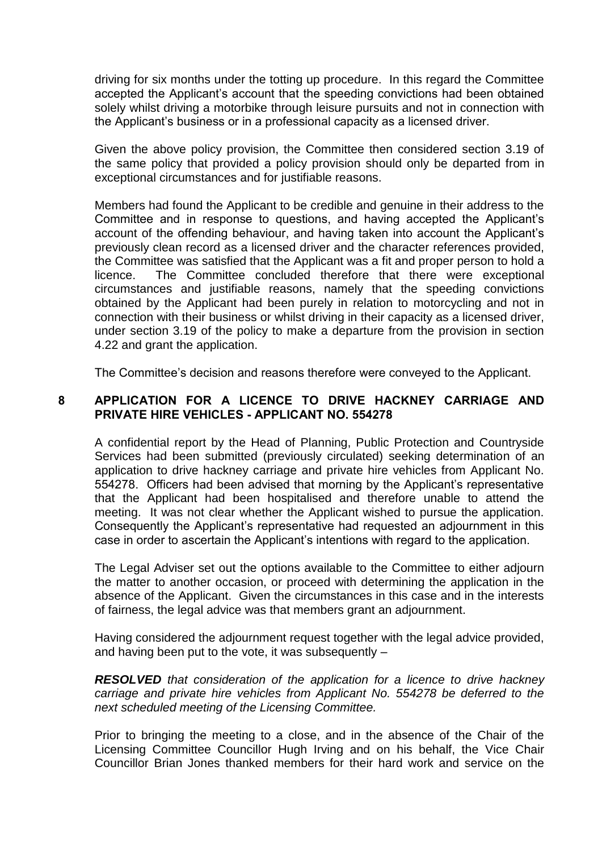driving for six months under the totting up procedure. In this regard the Committee accepted the Applicant's account that the speeding convictions had been obtained solely whilst driving a motorbike through leisure pursuits and not in connection with the Applicant's business or in a professional capacity as a licensed driver.

Given the above policy provision, the Committee then considered section 3.19 of the same policy that provided a policy provision should only be departed from in exceptional circumstances and for justifiable reasons.

Members had found the Applicant to be credible and genuine in their address to the Committee and in response to questions, and having accepted the Applicant's account of the offending behaviour, and having taken into account the Applicant's previously clean record as a licensed driver and the character references provided, the Committee was satisfied that the Applicant was a fit and proper person to hold a licence. The Committee concluded therefore that there were exceptional circumstances and justifiable reasons, namely that the speeding convictions obtained by the Applicant had been purely in relation to motorcycling and not in connection with their business or whilst driving in their capacity as a licensed driver, under section 3.19 of the policy to make a departure from the provision in section 4.22 and grant the application.

The Committee's decision and reasons therefore were conveyed to the Applicant.

### **8 APPLICATION FOR A LICENCE TO DRIVE HACKNEY CARRIAGE AND PRIVATE HIRE VEHICLES - APPLICANT NO. 554278**

A confidential report by the Head of Planning, Public Protection and Countryside Services had been submitted (previously circulated) seeking determination of an application to drive hackney carriage and private hire vehicles from Applicant No. 554278. Officers had been advised that morning by the Applicant's representative that the Applicant had been hospitalised and therefore unable to attend the meeting. It was not clear whether the Applicant wished to pursue the application. Consequently the Applicant's representative had requested an adjournment in this case in order to ascertain the Applicant's intentions with regard to the application.

The Legal Adviser set out the options available to the Committee to either adjourn the matter to another occasion, or proceed with determining the application in the absence of the Applicant. Given the circumstances in this case and in the interests of fairness, the legal advice was that members grant an adjournment.

Having considered the adjournment request together with the legal advice provided, and having been put to the vote, it was subsequently –

*RESOLVED that consideration of the application for a licence to drive hackney carriage and private hire vehicles from Applicant No. 554278 be deferred to the next scheduled meeting of the Licensing Committee.*

Prior to bringing the meeting to a close, and in the absence of the Chair of the Licensing Committee Councillor Hugh Irving and on his behalf, the Vice Chair Councillor Brian Jones thanked members for their hard work and service on the